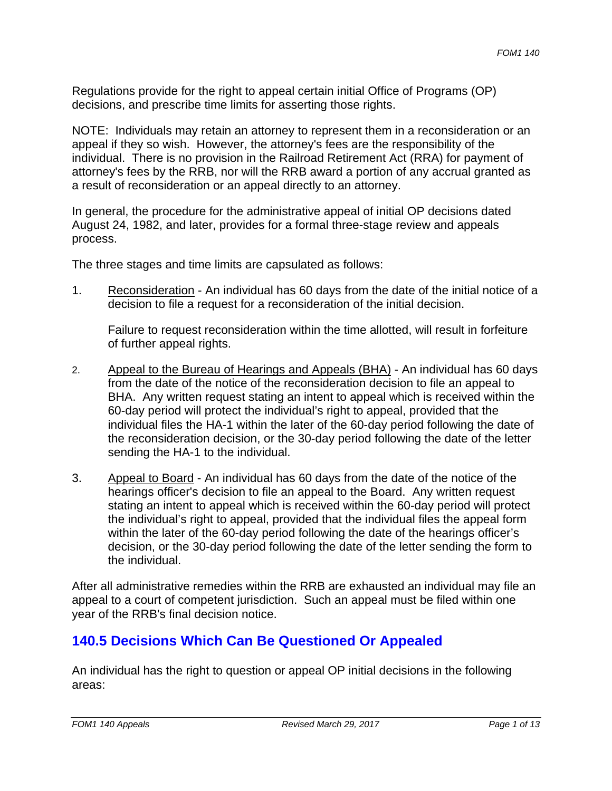Regulations provide for the right to appeal certain initial Office of Programs (OP) decisions, and prescribe time limits for asserting those rights.

NOTE: Individuals may retain an attorney to represent them in a reconsideration or an appeal if they so wish. However, the attorney's fees are the responsibility of the individual. There is no provision in the Railroad Retirement Act (RRA) for payment of attorney's fees by the RRB, nor will the RRB award a portion of any accrual granted as a result of reconsideration or an appeal directly to an attorney.

In general, the procedure for the administrative appeal of initial OP decisions dated August 24, 1982, and later, provides for a formal three-stage review and appeals process.

The three stages and time limits are capsulated as follows:

decision to file a request for a reconsideration of the initial decision. 1. Reconsideration - An individual has 60 days from the date of the initial notice of a

Failure to request reconsideration within the time allotted, will result in forfeiture of further appeal rights.

- 2. Appeal to the Bureau of Hearings and Appeals (BHA) An individual has 60 days from the date of the notice of the reconsideration decision to file an appeal to BHA. Any written request stating an intent to appeal which is received within the 60-day period will protect the individual's right to appeal, provided that the individual files the HA-1 within the later of the 60-day period following the date of the reconsideration decision, or the 30-day period following the date of the letter sending the HA-1 to the individual.
- 3. Appeal to Board An individual has 60 days from the date of the notice of the hearings officer's decision to file an appeal to the Board. Any written request stating an intent to appeal which is received within the 60-day period will protect the individual's right to appeal, provided that the individual files the appeal form within the later of the 60-day period following the date of the hearings officer's decision, or the 30-day period following the date of the letter sending the form to the individual.

After all administrative remedies within the RRB are exhausted an individual may file an appeal to a court of competent jurisdiction. Such an appeal must be filed within one year of the RRB's final decision notice.

### **140.5 Decisions Which Can Be Questioned Or Appealed**

An individual has the right to question or appeal OP initial decisions in the following areas: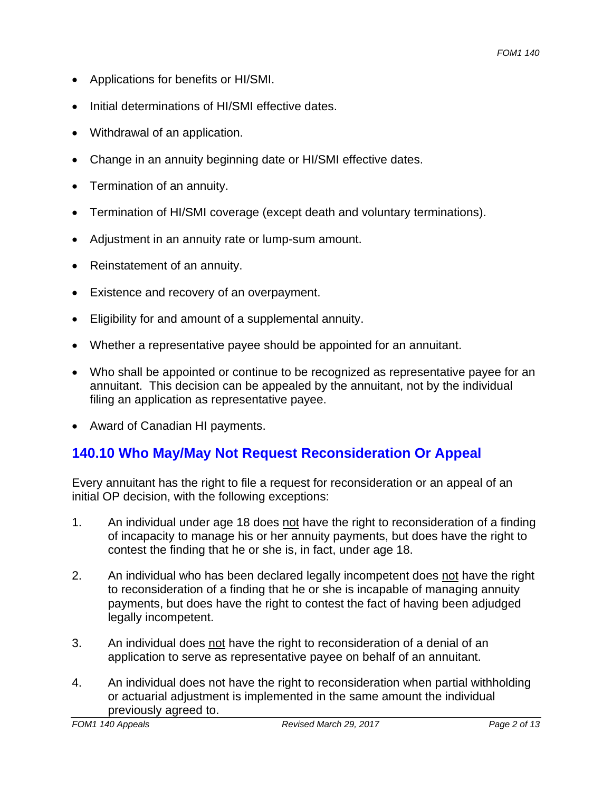- Applications for benefits or HI/SMI.
- Initial determinations of HI/SMI effective dates.
- Withdrawal of an application.
- Change in an annuity beginning date or HI/SMI effective dates.
- Termination of an annuity.
- Termination of HI/SMI coverage (except death and voluntary terminations).
- Adjustment in an annuity rate or lump-sum amount.
- Reinstatement of an annuity.
- Existence and recovery of an overpayment.
- Eligibility for and amount of a supplemental annuity.
- Whether a representative payee should be appointed for an annuitant.
- Who shall be appointed or continue to be recognized as representative payee for an annuitant. This decision can be appealed by the annuitant, not by the individual filing an application as representative payee.
- Award of Canadian HI payments.

# **140.10 Who May/May Not Request Reconsideration Or Appeal**

Every annuitant has the right to file a request for reconsideration or an appeal of an initial OP decision, with the following exceptions:

- 1. An individual under age 18 does not have the right to reconsideration of a finding of incapacity to manage his or her annuity payments, but does have the right to contest the finding that he or she is, in fact, under age 18.
- 2. An individual who has been declared legally incompetent does not have the right to reconsideration of a finding that he or she is incapable of managing annuity payments, but does have the right to contest the fact of having been adjudged legally incompetent.
- 3. An individual does not have the right to reconsideration of a denial of an application to serve as representative payee on behalf of an annuitant.
- 4. An individual does not have the right to reconsideration when partial withholding or actuarial adjustment is implemented in the same amount the individual previously agreed to.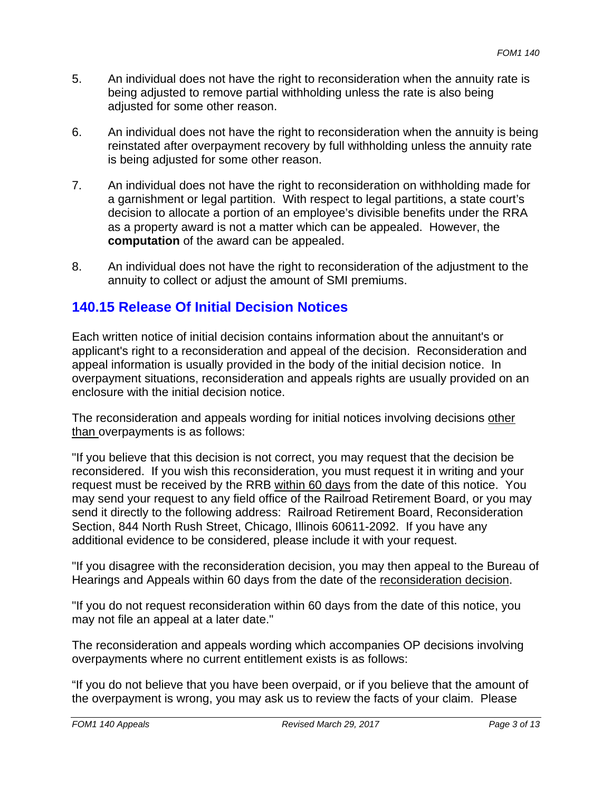- 5. An individual does not have the right to reconsideration when the annuity rate is being adjusted to remove partial withholding unless the rate is also being adjusted for some other reason.
- 6. An individual does not have the right to reconsideration when the annuity is being reinstated after overpayment recovery by full withholding unless the annuity rate is being adjusted for some other reason.
- 7. An individual does not have the right to reconsideration on withholding made for a garnishment or legal partition. With respect to legal partitions, a state court's decision to allocate a portion of an employee's divisible benefits under the RRA as a property award is not a matter which can be appealed. However, the **computation** of the award can be appealed.
- 8. An individual does not have the right to reconsideration of the adjustment to the annuity to collect or adjust the amount of SMI premiums.

### **140.15 Release Of Initial Decision Notices**

Each written notice of initial decision contains information about the annuitant's or applicant's right to a reconsideration and appeal of the decision. Reconsideration and appeal information is usually provided in the body of the initial decision notice. In overpayment situations, reconsideration and appeals rights are usually provided on an enclosure with the initial decision notice.

The reconsideration and appeals wording for initial notices involving decisions other than overpayments is as follows:

"If you believe that this decision is not correct, you may request that the decision be reconsidered. If you wish this reconsideration, you must request it in writing and your request must be received by the RRB within 60 days from the date of this notice. You may send your request to any field office of the Railroad Retirement Board, or you may send it directly to the following address: Railroad Retirement Board, Reconsideration Section, 844 North Rush Street, Chicago, Illinois 60611-2092. If you have any additional evidence to be considered, please include it with your request.

"If you disagree with the reconsideration decision, you may then appeal to the Bureau of Hearings and Appeals within 60 days from the date of the reconsideration decision.

"If you do not request reconsideration within 60 days from the date of this notice, you may not file an appeal at a later date."

The reconsideration and appeals wording which accompanies OP decisions involving overpayments where no current entitlement exists is as follows:

"If you do not believe that you have been overpaid, or if you believe that the amount of the overpayment is wrong, you may ask us to review the facts of your claim. Please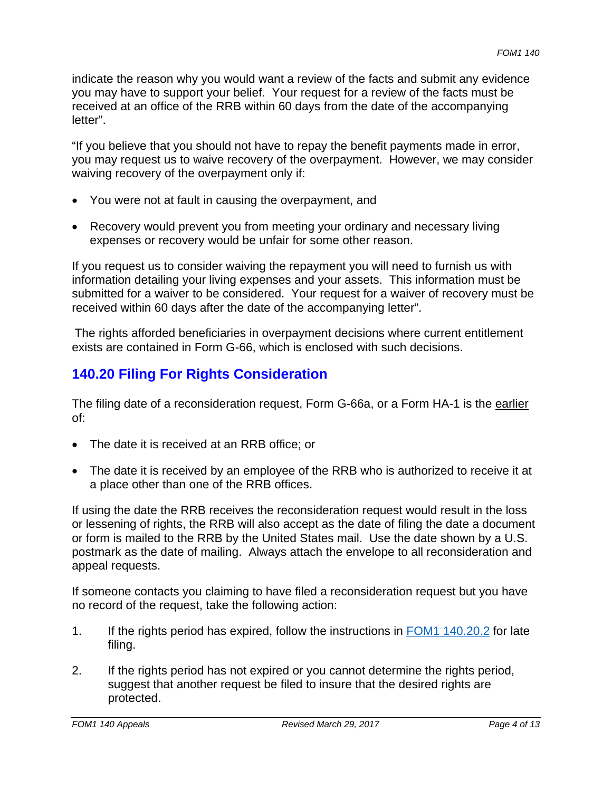indicate the reason why you would want a review of the facts and submit any evidence you may have to support your belief. Your request for a review of the facts must be received at an office of the RRB within 60 days from the date of the accompanying letter".

"If you believe that you should not have to repay the benefit payments made in error, you may request us to waive recovery of the overpayment. However, we may consider waiving recovery of the overpayment only if:

- You were not at fault in causing the overpayment, and
- Recovery would prevent you from meeting your ordinary and necessary living expenses or recovery would be unfair for some other reason.

If you request us to consider waiving the repayment you will need to furnish us with information detailing your living expenses and your assets. This information must be submitted for a waiver to be considered. Your request for a waiver of recovery must be received within 60 days after the date of the accompanying letter".

The rights afforded beneficiaries in overpayment decisions where current entitlement exists are contained in Form G-66, which is enclosed with such decisions.

# **140.20 Filing For Rights Consideration**

The filing date of a reconsideration request, Form G-66a, or a Form HA-1 is the earlier of:

- The date it is received at an RRB office; or
- The date it is received by an employee of the RRB who is authorized to receive it at a place other than one of the RRB offices.

If using the date the RRB receives the reconsideration request would result in the loss or lessening of rights, the RRB will also accept as the date of filing the date a document or form is mailed to the RRB by the United States mail. Use the date shown by a U.S. postmark as the date of mailing. Always attach the envelope to all reconsideration and appeal requests.

If someone contacts you claiming to have filed a reconsideration request but you have no record of the request, take the following action:

- 1. If the rights period has expired, follow the instructions in FOM1 140.20.2 for late filing.
- 2. If the rights period has not expired or you cannot determine the rights period, suggest that another request be filed to insure that the desired rights are protected.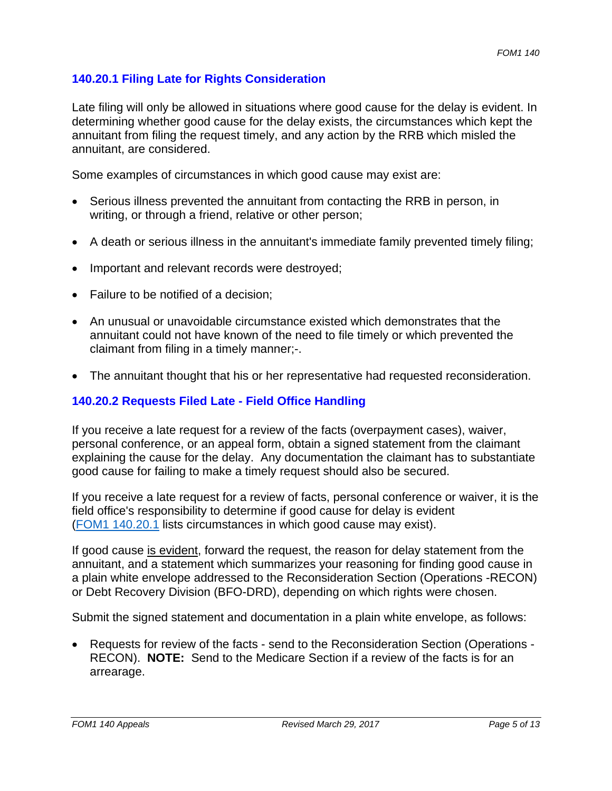#### **140.20.1 Filing Late for Rights Consideration**

Late filing will only be allowed in situations where good cause for the delay is evident. In determining whether good cause for the delay exists, the circumstances which kept the annuitant from filing the request timely, and any action by the RRB which misled the annuitant, are considered.

Some examples of circumstances in which good cause may exist are:

- Serious illness prevented the annuitant from contacting the RRB in person, in writing, or through a friend, relative or other person;
- A death or serious illness in the annuitant's immediate family prevented timely filing;
- Important and relevant records were destroyed;
- Failure to be notified of a decision;
- An unusual or unavoidable circumstance existed which demonstrates that the annuitant could not have known of the need to file timely or which prevented the claimant from filing in a timely manner;-.
- The annuitant thought that his or her representative had requested reconsideration.

#### **140.20.2 Requests Filed Late - Field Office Handling**

If you receive a late request for a review of the facts (overpayment cases), waiver, personal conference, or an appeal form, obtain a signed statement from the claimant explaining the cause for the delay. Any documentation the claimant has to substantiate good cause for failing to make a timely request should also be secured.

If you receive a late request for a review of facts, personal conference or waiver, it is the field office's responsibility to determine if good cause for delay is evident (FOM1 140.20.1 lists circumstances in which good cause may exist).

If good cause is evident, forward the request, the reason for delay statement from the annuitant, and a statement which summarizes your reasoning for finding good cause in a plain white envelope addressed to the Reconsideration Section (Operations -RECON) or Debt Recovery Division (BFO-DRD), depending on which rights were chosen.

Submit the signed statement and documentation in a plain white envelope, as follows:

• Requests for review of the facts - send to the Reconsideration Section (Operations -RECON). **NOTE:** Send to the Medicare Section if a review of the facts is for an arrearage.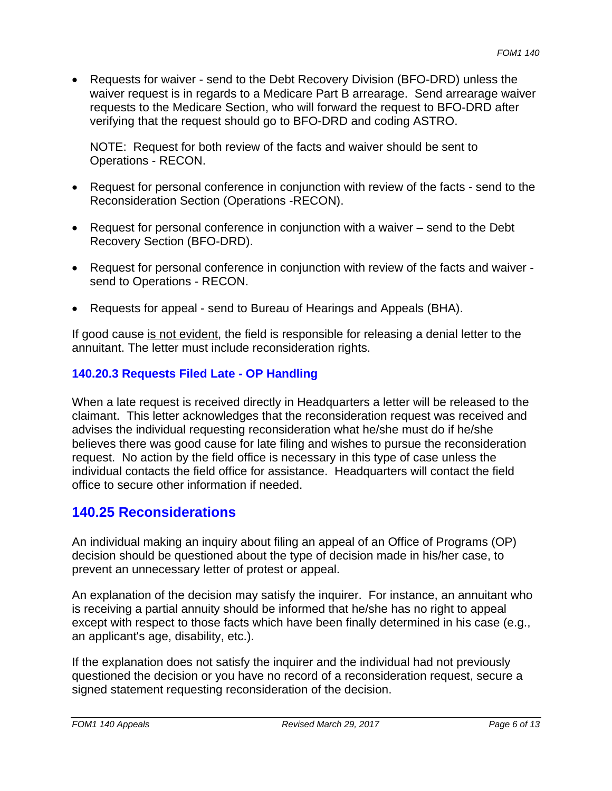• Requests for waiver - send to the Debt Recovery Division (BFO-DRD) unless the waiver request is in regards to a Medicare Part B arrearage. Send arrearage waiver requests to the Medicare Section, who will forward the request to BFO-DRD after verifying that the request should go to BFO-DRD and coding ASTRO.

NOTE: Request for both review of the facts and waiver should be sent to Operations - RECON.

- Request for personal conference in conjunction with review of the facts send to the Reconsideration Section (Operations -RECON).
- Request for personal conference in conjunction with a waiver send to the Debt Recovery Section (BFO-DRD).
- Request for personal conference in conjunction with review of the facts and waiver send to Operations - RECON.
- Requests for appeal send to Bureau of Hearings and Appeals (BHA).

If good cause is not evident, the field is responsible for releasing a denial letter to the annuitant. The letter must include reconsideration rights.

#### **140.20.3 Requests Filed Late - OP Handling**

When a late request is received directly in Headquarters a letter will be released to the claimant. This letter acknowledges that the reconsideration request was received and advises the individual requesting reconsideration what he/she must do if he/she believes there was good cause for late filing and wishes to pursue the reconsideration request. No action by the field office is necessary in this type of case unless the individual contacts the field office for assistance. Headquarters will contact the field office to secure other information if needed.

### **140.25 Reconsiderations**

An individual making an inquiry about filing an appeal of an Office of Programs (OP) decision should be questioned about the type of decision made in his/her case, to prevent an unnecessary letter of protest or appeal.

An explanation of the decision may satisfy the inquirer. For instance, an annuitant who is receiving a partial annuity should be informed that he/she has no right to appeal except with respect to those facts which have been finally determined in his case (e.g., an applicant's age, disability, etc.).

If the explanation does not satisfy the inquirer and the individual had not previously questioned the decision or you have no record of a reconsideration request, secure a signed statement requesting reconsideration of the decision.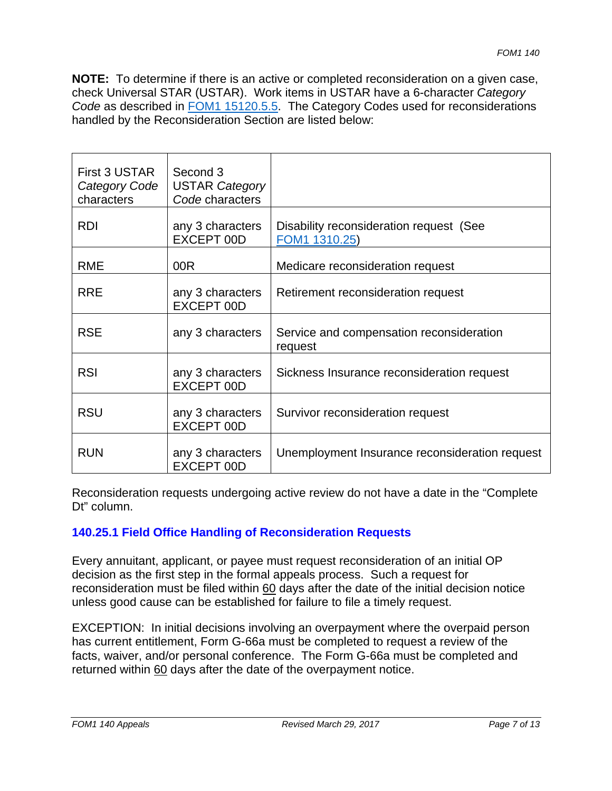**NOTE:** To determine if there is an active or completed reconsideration on a given case, check Universal STAR (USTAR). Work items in USTAR have a 6-character *Category Code* as described in FOM1 15120.5.5. The Category Codes used for reconsiderations handled by the Reconsideration Section are listed below:

| First 3 USTAR | Second 3                       |                                                          |
|---------------|--------------------------------|----------------------------------------------------------|
| Category Code | <b>USTAR Category</b>          |                                                          |
| characters    | Code characters                |                                                          |
|               |                                |                                                          |
| <b>RDI</b>    | any 3 characters<br>EXCEPT 00D | Disability reconsideration request (See<br>FOM1 1310.25) |
|               |                                |                                                          |
| <b>RME</b>    | 00R                            | Medicare reconsideration request                         |
|               |                                |                                                          |
| <b>RRE</b>    | any 3 characters               | Retirement reconsideration request                       |
|               | EXCEPT 00D                     |                                                          |
|               |                                |                                                          |
| <b>RSE</b>    | any 3 characters               | Service and compensation reconsideration                 |
|               |                                | request                                                  |
|               |                                |                                                          |
| <b>RSI</b>    | any 3 characters               | Sickness Insurance reconsideration request               |
|               | EXCEPT 00D                     |                                                          |
|               |                                |                                                          |
| <b>RSU</b>    | any 3 characters               | Survivor reconsideration request                         |
|               | EXCEPT 00D                     |                                                          |
|               |                                |                                                          |
| <b>RUN</b>    | any 3 characters               | Unemployment Insurance reconsideration request           |
|               | EXCEPT 00D                     |                                                          |

Reconsideration requests undergoing active review do not have a date in the "Complete Dt" column.

#### **140.25.1 Field Office Handling of Reconsideration Requests**

Every annuitant, applicant, or payee must request reconsideration of an initial OP decision as the first step in the formal appeals process. Such a request for reconsideration must be filed within 60 days after the date of the initial decision notice unless good cause can be established for failure to file a timely request.

EXCEPTION: In initial decisions involving an overpayment where the overpaid person has current entitlement, Form G-66a must be completed to request a review of the facts, waiver, and/or personal conference. The Form G-66a must be completed and returned within 60 days after the date of the overpayment notice.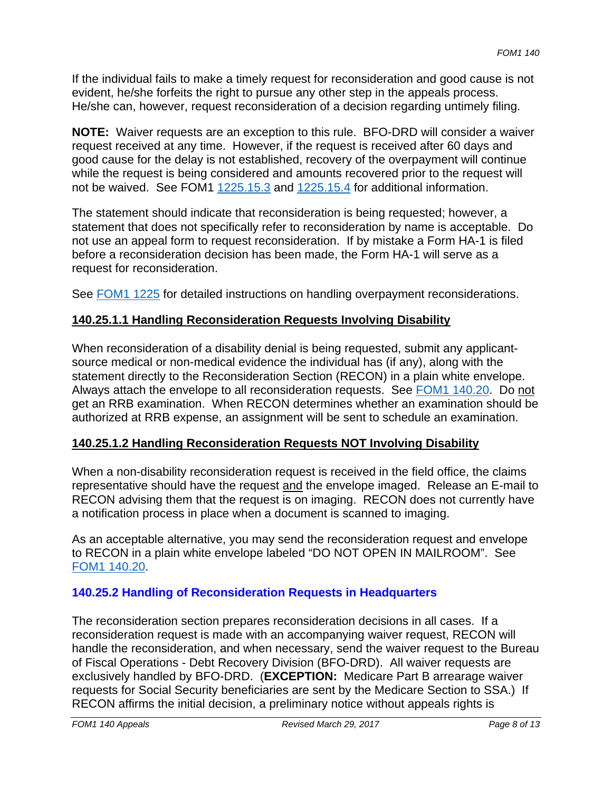If the individual fails to make a timely request for reconsideration and good cause is not evident, he/she forfeits the right to pursue any other step in the appeals process. He/she can, however, request reconsideration of a decision regarding untimely filing.

**NOTE:** Waiver requests are an exception to this rule. BFO-DRD will consider a waiver request received at any time. However, if the request is received after 60 days and good cause for the delay is not established, recovery of the overpayment will continue while the request is being considered and amounts recovered prior to the request will not be waived. See FOM1  $1225.15.3$  and  $1225.15.4$  for additional information.

The statement should indicate that reconsideration is being requested; however, a statement that does not specifically refer to reconsideration by name is acceptable. Do not use an appeal form to request reconsideration. If by mistake a Form HA-1 is filed before a reconsideration decision has been made, the Form HA-1 will serve as a request for reconsideration.

See FOM1 1225 for detailed instructions on handling overpayment reconsiderations.

#### **140.25.1.1 Handling Reconsideration Requests Involving Disability**

When reconsideration of a disability denial is being requested, submit any applicantsource medical or non-medical evidence the individual has (if any), along with the statement directly to the Reconsideration Section (RECON) in a plain white envelope. Always attach the envelope to all reconsideration requests. See FOM1 140.20. Do not get an RRB examination. When RECON determines whether an examination should be authorized at RRB expense, an assignment will be sent to schedule an examination.

#### **140.25.1.2 Handling Reconsideration Requests NOT Involving Disability**

When a non-disability reconsideration request is received in the field office, the claims representative should have the request and the envelope imaged. Release an E-mail to RECON advising them that the request is on imaging. RECON does not currently have a notification process in place when a document is scanned to imaging.

As an acceptable alternative, you may send the reconsideration request and envelope to RECON in a plain white envelope labeled "DO NOT OPEN IN MAILROOM". See FOM1 140.20.

#### **140.25.2 Handling of Reconsideration Requests in Headquarters**

The reconsideration section prepares reconsideration decisions in all cases. If a reconsideration request is made with an accompanying waiver request, RECON will handle the reconsideration, and when necessary, send the waiver request to the Bureau of Fiscal Operations - Debt Recovery Division (BFO-DRD). All waiver requests are exclusively handled by BFO-DRD. (**EXCEPTION:** Medicare Part B arrearage waiver requests for Social Security beneficiaries are sent by the Medicare Section to SSA.) If RECON affirms the initial decision, a preliminary notice without appeals rights is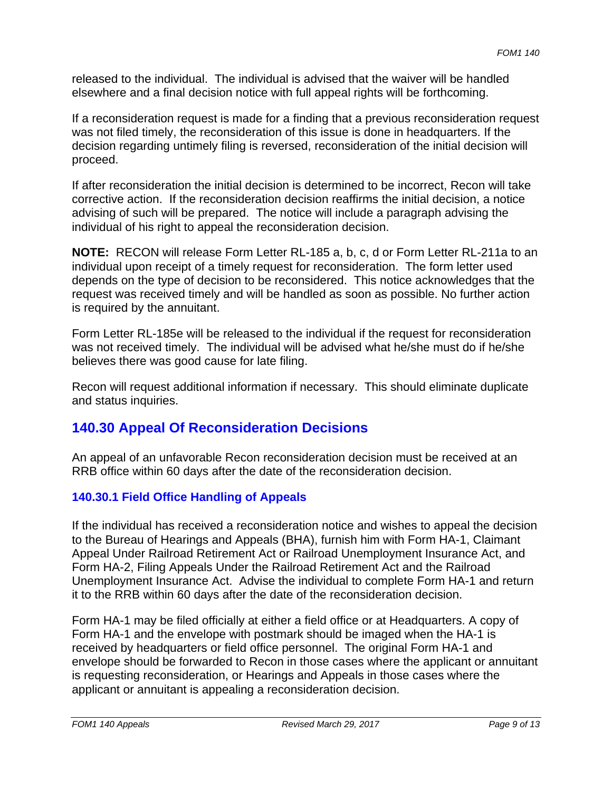released to the individual. The individual is advised that the waiver will be handled elsewhere and a final decision notice with full appeal rights will be forthcoming.

If a reconsideration request is made for a finding that a previous reconsideration request was not filed timely, the reconsideration of this issue is done in headquarters. If the decision regarding untimely filing is reversed, reconsideration of the initial decision will proceed.

If after reconsideration the initial decision is determined to be incorrect, Recon will take corrective action. If the reconsideration decision reaffirms the initial decision, a notice advising of such will be prepared. The notice will include a paragraph advising the individual of his right to appeal the reconsideration decision.

**NOTE:** RECON will release Form Letter RL-185 a, b, c, d or Form Letter RL-211a to an individual upon receipt of a timely request for reconsideration. The form letter used depends on the type of decision to be reconsidered. This notice acknowledges that the request was received timely and will be handled as soon as possible. No further action is required by the annuitant.

believes there was good cause for late filing. Form Letter RL-185e will be released to the individual if the request for reconsideration was not received timely. The individual will be advised what he/she must do if he/she

Recon will request additional information if necessary. This should eliminate duplicate and status inquiries.

### **140.30 Appeal Of Reconsideration Decisions**

An appeal of an unfavorable Recon reconsideration decision must be received at an RRB office within 60 days after the date of the reconsideration decision.

#### **140.30.1 Field Office Handling of Appeals**

If the individual has received a reconsideration notice and wishes to appeal the decision to the Bureau of Hearings and Appeals (BHA), furnish him with Form HA-1, Claimant Appeal Under Railroad Retirement Act or Railroad Unemployment Insurance Act, and Form HA-2, Filing Appeals Under the Railroad Retirement Act and the Railroad Unemployment Insurance Act. Advise the individual to complete Form HA-1 and return it to the RRB within 60 days after the date of the reconsideration decision.

Form HA-1 may be filed officially at either a field office or at Headquarters. A copy of Form HA-1 and the envelope with postmark should be imaged when the HA-1 is received by headquarters or field office personnel. The original Form HA-1 and envelope should be forwarded to Recon in those cases where the applicant or annuitant is requesting reconsideration, or Hearings and Appeals in those cases where the applicant or annuitant is appealing a reconsideration decision.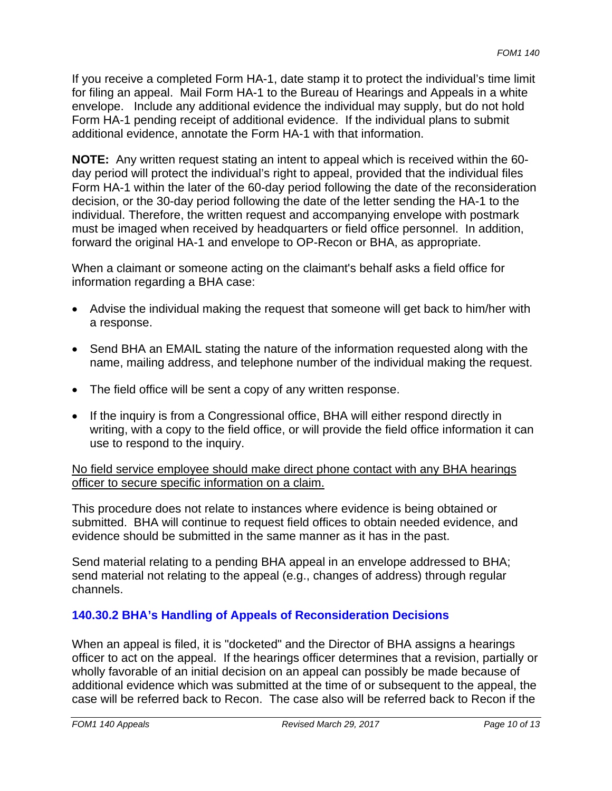If you receive a completed Form HA-1, date stamp it to protect the individual's time limit for filing an appeal. Mail Form HA-1 to the Bureau of Hearings and Appeals in a white envelope. Include any additional evidence the individual may supply, but do not hold Form HA-1 pending receipt of additional evidence. If the individual plans to submit additional evidence, annotate the Form HA-1 with that information.

**NOTE:** Any written request stating an intent to appeal which is received within the 60 day period will protect the individual's right to appeal, provided that the individual files Form HA-1 within the later of the 60-day period following the date of the reconsideration decision, or the 30-day period following the date of the letter sending the HA-1 to the individual. Therefore, the written request and accompanying envelope with postmark must be imaged when received by headquarters or field office personnel. In addition, forward the original HA-1 and envelope to OP-Recon or BHA, as appropriate.

When a claimant or someone acting on the claimant's behalf asks a field office for information regarding a BHA case:

- Advise the individual making the request that someone will get back to him/her with a response.
- Send BHA an EMAIL stating the nature of the information requested along with the name, mailing address, and telephone number of the individual making the request.
- The field office will be sent a copy of any written response.
- If the inquiry is from a Congressional office, BHA will either respond directly in writing, with a copy to the field office, or will provide the field office information it can use to respond to the inquiry.

No field service employee should make direct phone contact with any BHA hearings officer to secure specific information on a claim.

This procedure does not relate to instances where evidence is being obtained or submitted. BHA will continue to request field offices to obtain needed evidence, and evidence should be submitted in the same manner as it has in the past.

Send material relating to a pending BHA appeal in an envelope addressed to BHA; send material not relating to the appeal (e.g., changes of address) through regular channels.

#### **140.30.2 BHA's Handling of Appeals of Reconsideration Decisions**

When an appeal is filed, it is "docketed" and the Director of BHA assigns a hearings officer to act on the appeal. If the hearings officer determines that a revision, partially or wholly favorable of an initial decision on an appeal can possibly be made because of additional evidence which was submitted at the time of or subsequent to the appeal, the case will be referred back to Recon. The case also will be referred back to Recon if the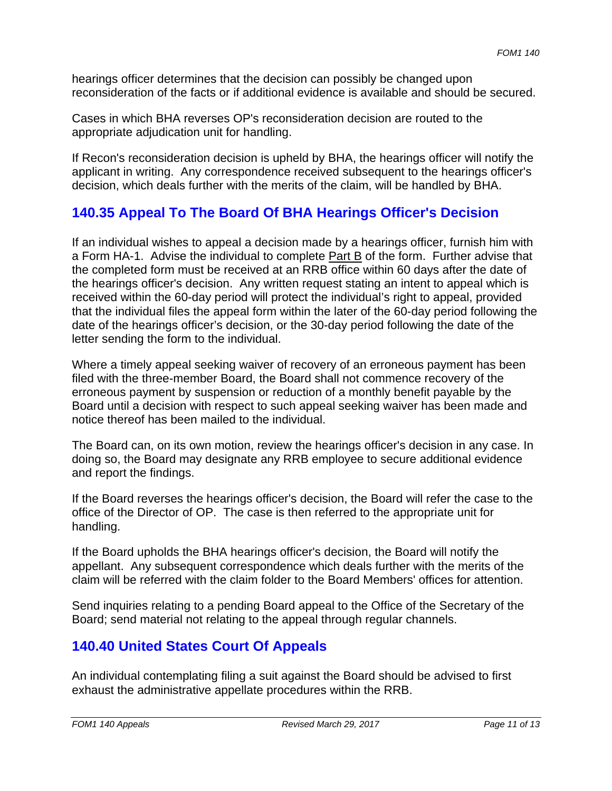hearings officer determines that the decision can possibly be changed upon reconsideration of the facts or if additional evidence is available and should be secured.

Cases in which BHA reverses OP's reconsideration decision are routed to the appropriate adjudication unit for handling.

If Recon's reconsideration decision is upheld by BHA, the hearings officer will notify the applicant in writing. Any correspondence received subsequent to the hearings officer's decision, which deals further with the merits of the claim, will be handled by BHA.

### **140.35 Appeal To The Board Of BHA Hearings Officer's Decision**

If an individual wishes to appeal a decision made by a hearings officer, furnish him with a Form HA-1. Advise the individual to complete Part B of the form. Further advise that the completed form must be received at an RRB office within 60 days after the date of the hearings officer's decision. Any written request stating an intent to appeal which is received within the 60-day period will protect the individual's right to appeal, provided that the individual files the appeal form within the later of the 60-day period following the date of the hearings officer's decision, or the 30-day period following the date of the letter sending the form to the individual.

Where a timely appeal seeking waiver of recovery of an erroneous payment has been filed with the three-member Board, the Board shall not commence recovery of the erroneous payment by suspension or reduction of a monthly benefit payable by the Board until a decision with respect to such appeal seeking waiver has been made and notice thereof has been mailed to the individual.

The Board can, on its own motion, review the hearings officer's decision in any case. In doing so, the Board may designate any RRB employee to secure additional evidence and report the findings.

If the Board reverses the hearings officer's decision, the Board will refer the case to the office of the Director of OP. The case is then referred to the appropriate unit for handling.

If the Board upholds the BHA hearings officer's decision, the Board will notify the appellant. Any subsequent correspondence which deals further with the merits of the claim will be referred with the claim folder to the Board Members' offices for attention.

Send inquiries relating to a pending Board appeal to the Office of the Secretary of the Board; send material not relating to the appeal through regular channels.

# **140.40 United States Court Of Appeals**

An individual contemplating filing a suit against the Board should be advised to first exhaust the administrative appellate procedures within the RRB.